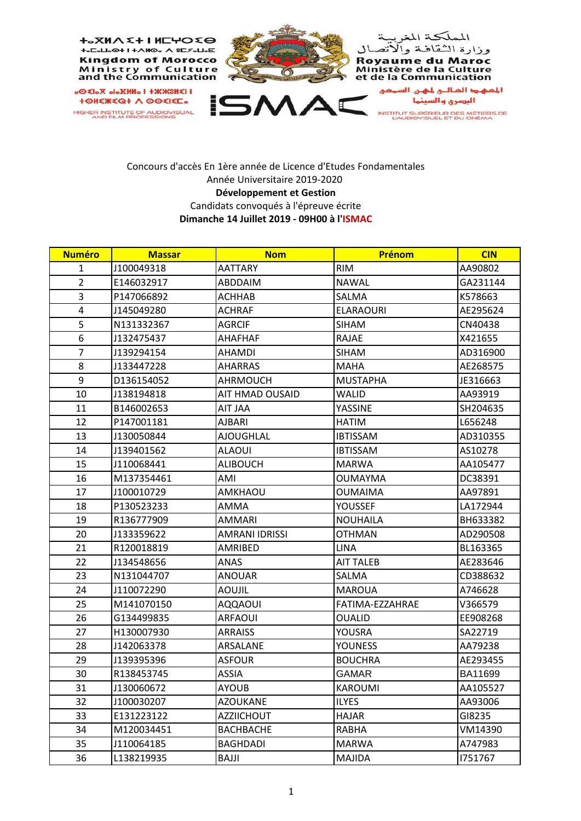

## Concours d'accès En 1ère année de Licence d'Etudes Fondamentales Année Universitaire 2019‐2020 **Développement et Gestion** Candidats convoqués à l'épreuve écrite **Dimanche 14 Juillet 2019 ‐ 09H00 à l'ISMAC**

| <b>Numéro</b>  | <b>Massar</b> | <b>Nom</b>        | Prénom           | <b>CIN</b> |
|----------------|---------------|-------------------|------------------|------------|
| $\mathbf{1}$   | J100049318    | <b>AATTARY</b>    | <b>RIM</b>       | AA90802    |
| $\overline{2}$ | E146032917    | ABDDAIM           | <b>NAWAL</b>     | GA231144   |
| 3              | P147066892    | <b>ACHHAB</b>     | SALMA            | K578663    |
| $\overline{4}$ | J145049280    | ACHRAF            | <b>ELARAOURI</b> | AE295624   |
| 5              | N131332367    | <b>AGRCIF</b>     | <b>SIHAM</b>     | CN40438    |
| 6              | J132475437    | <b>AHAFHAF</b>    | RAJAE            | X421655    |
| $\overline{7}$ | J139294154    | AHAMDI            | SIHAM            | AD316900   |
| 8              | J133447228    | <b>AHARRAS</b>    | <b>MAHA</b>      | AE268575   |
| 9              | D136154052    | <b>AHRMOUCH</b>   | <b>MUSTAPHA</b>  | JE316663   |
| 10             | J138194818    | AIT HMAD OUSAID   | WALID            | AA93919    |
| 11             | B146002653    | <b>AIT JAA</b>    | YASSINE          | SH204635   |
| 12             | P147001181    | AJBARI            | <b>HATIM</b>     | L656248    |
| 13             | J130050844    | <b>AJOUGHLAL</b>  | <b>IBTISSAM</b>  | AD310355   |
| 14             | J139401562    | <b>ALAOUI</b>     | <b>IBTISSAM</b>  | AS10278    |
| 15             | J110068441    | <b>ALIBOUCH</b>   | <b>MARWA</b>     | AA105477   |
| 16             | M137354461    | AMI               | <b>OUMAYMA</b>   | DC38391    |
| 17             | J100010729    | AMKHAOU           | <b>OUMAIMA</b>   | AA97891    |
| 18             | P130523233    | AMMA              | <b>YOUSSEF</b>   | LA172944   |
| 19             | R136777909    | <b>AMMARI</b>     | <b>NOUHAILA</b>  | BH633382   |
| 20             | J133359622    | AMRANI IDRISSI    | <b>OTHMAN</b>    | AD290508   |
| 21             | R120018819    | AMRIBED           | <b>LINA</b>      | BL163365   |
| 22             | J134548656    | ANAS              | <b>AIT TALEB</b> | AE283646   |
| 23             | N131044707    | <b>ANOUAR</b>     | SALMA            | CD388632   |
| 24             | J110072290    | <b>AOUJIL</b>     | <b>MAROUA</b>    | A746628    |
| 25             | M141070150    | <b>AQQAOUI</b>    | FATIMA-EZZAHRAE  | V366579    |
| 26             | G134499835    | <b>ARFAOUI</b>    | <b>OUALID</b>    | EE908268   |
| 27             | H130007930    | <b>ARRAISS</b>    | YOUSRA           | SA22719    |
| 28             | J142063378    | ARSALANE          | <b>YOUNESS</b>   | AA79238    |
| 29             | J139395396    | <b>ASFOUR</b>     | <b>BOUCHRA</b>   | AE293455   |
| 30             | R138453745    | ASSIA             | <b>GAMAR</b>     | BA11699    |
| 31             | J130060672    | <b>AYOUB</b>      | <b>KAROUMI</b>   | AA105527   |
| 32             | J100030207    | <b>AZOUKANE</b>   | <b>ILYES</b>     | AA93006    |
| 33             | E131223122    | <b>AZZIICHOUT</b> | <b>HAJAR</b>     | GI8235     |
| 34             | M120034451    | <b>BACHBACHE</b>  | RABHA            | VM14390    |
| 35             | J110064185    | <b>BAGHDADI</b>   | <b>MARWA</b>     | A747983    |
| 36             | L138219935    | BAJJI             | MAJIDA           | 1751767    |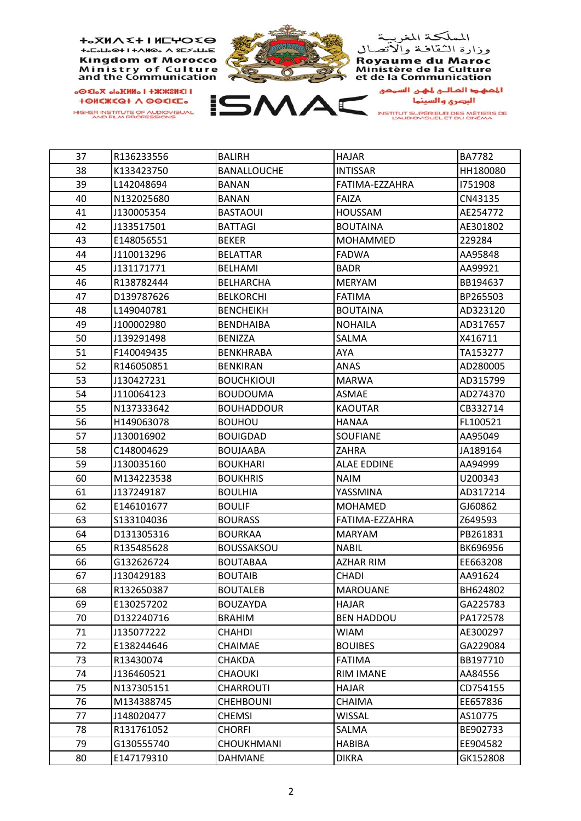

| 37 | R136233556 | <b>BALIRH</b>      | <b>HAJAR</b>       | <b>BA7782</b> |
|----|------------|--------------------|--------------------|---------------|
| 38 | K133423750 | <b>BANALLOUCHE</b> | <b>INTISSAR</b>    | HH180080      |
| 39 | L142048694 | <b>BANAN</b>       | FATIMA-EZZAHRA     | 1751908       |
| 40 | N132025680 | <b>BANAN</b>       | <b>FAIZA</b>       | CN43135       |
| 41 | J130005354 | <b>BASTAOUI</b>    | <b>HOUSSAM</b>     | AE254772      |
| 42 | J133517501 | <b>BATTAGI</b>     | <b>BOUTAINA</b>    | AE301802      |
| 43 | E148056551 | <b>BEKER</b>       | MOHAMMED           | 229284        |
| 44 | J110013296 | <b>BELATTAR</b>    | <b>FADWA</b>       | AA95848       |
| 45 | J131171771 | <b>BELHAMI</b>     | <b>BADR</b>        | AA99921       |
| 46 | R138782444 | <b>BELHARCHA</b>   | <b>MERYAM</b>      | BB194637      |
| 47 | D139787626 | <b>BELKORCHI</b>   | <b>FATIMA</b>      | BP265503      |
| 48 | L149040781 | <b>BENCHEIKH</b>   | <b>BOUTAINA</b>    | AD323120      |
| 49 | J100002980 | <b>BENDHAIBA</b>   | <b>NOHAILA</b>     | AD317657      |
| 50 | J139291498 | <b>BENIZZA</b>     | SALMA              | X416711       |
| 51 | F140049435 | <b>BENKHRABA</b>   | AYA                | TA153277      |
| 52 | R146050851 | <b>BENKIRAN</b>    | ANAS               | AD280005      |
| 53 | J130427231 | <b>BOUCHKIOUI</b>  | <b>MARWA</b>       | AD315799      |
| 54 | J110064123 | <b>BOUDOUMA</b>    | <b>ASMAE</b>       | AD274370      |
| 55 | N137333642 | <b>BOUHADDOUR</b>  | <b>KAOUTAR</b>     | CB332714      |
| 56 | H149063078 | <b>BOUHOU</b>      | <b>HANAA</b>       | FL100521      |
| 57 | J130016902 | <b>BOUIGDAD</b>    | <b>SOUFIANE</b>    | AA95049       |
| 58 | C148004629 | <b>BOUJAABA</b>    | ZAHRA              | JA189164      |
| 59 | J130035160 | <b>BOUKHARI</b>    | <b>ALAE EDDINE</b> | AA94999       |
| 60 | M134223538 | <b>BOUKHRIS</b>    | <b>NAIM</b>        | U200343       |
| 61 | J137249187 | <b>BOULHIA</b>     | YASSMINA           | AD317214      |
| 62 | E146101677 | <b>BOULIF</b>      | <b>MOHAMED</b>     | GJ60862       |
| 63 | S133104036 | <b>BOURASS</b>     | FATIMA-EZZAHRA     | Z649593       |
| 64 | D131305316 | <b>BOURKAA</b>     | <b>MARYAM</b>      | PB261831      |
| 65 | R135485628 | <b>BOUSSAKSOU</b>  | <b>NABIL</b>       | BK696956      |
| 66 | G132626724 | <b>BOUTABAA</b>    | <b>AZHAR RIM</b>   | EE663208      |
| 67 | J130429183 | <b>BOUTAIB</b>     | <b>CHADI</b>       | AA91624       |
| 68 | R132650387 | <b>BOUTALEB</b>    | <b>MAROUANE</b>    | BH624802      |
| 69 | E130257202 | <b>BOUZAYDA</b>    | <b>HAJAR</b>       | GA225783      |
| 70 | D132240716 | <b>BRAHIM</b>      | <b>BEN HADDOU</b>  | PA172578      |
| 71 | J135077222 | <b>CHAHDI</b>      | WIAM               | AE300297      |
| 72 | E138244646 | CHAIMAE            | <b>BOUIBES</b>     | GA229084      |
| 73 | R13430074  | CHAKDA             | <b>FATIMA</b>      | BB197710      |
| 74 | J136460521 | <b>CHAOUKI</b>     | <b>RIM IMANE</b>   | AA84556       |
| 75 | N137305151 | <b>CHARROUTI</b>   | <b>HAJAR</b>       | CD754155      |
| 76 | M134388745 | <b>CHEHBOUNI</b>   | CHAIMA             | EE657836      |
| 77 | J148020477 | <b>CHEMSI</b>      | WISSAL             | AS10775       |
| 78 | R131761052 | CHORFI             | SALMA              | BE902733      |
| 79 | G130555740 | <b>CHOUKHMANI</b>  | <b>HABIBA</b>      | EE904582      |
| 80 | E147179310 | <b>DAHMANE</b>     | <b>DIKRA</b>       | GK152808      |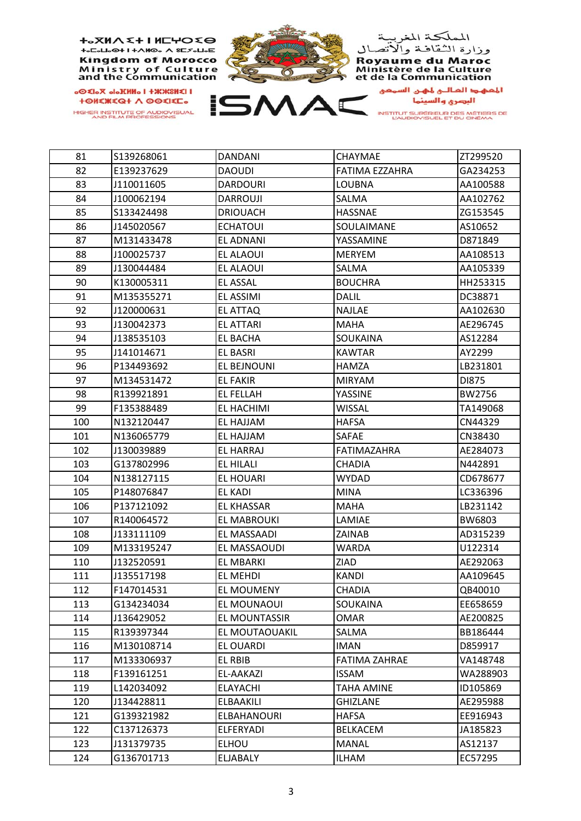

| 81  | S139268061 | <b>DANDANI</b>     | <b>CHAYMAE</b>       | ZT299520 |
|-----|------------|--------------------|----------------------|----------|
| 82  | E139237629 | <b>DAOUDI</b>      | FATIMA EZZAHRA       | GA234253 |
| 83  | J110011605 | <b>DARDOURI</b>    | <b>LOUBNA</b>        | AA100588 |
| 84  | J100062194 | <b>DARROUJI</b>    | <b>SALMA</b>         | AA102762 |
| 85  | S133424498 | <b>DRIOUACH</b>    | <b>HASSNAE</b>       | ZG153545 |
| 86  | J145020567 | <b>ECHATOUI</b>    | SOULAIMANE           | AS10652  |
| 87  | M131433478 | <b>EL ADNANI</b>   | YASSAMINE            | D871849  |
| 88  | J100025737 | EL ALAOUI          | <b>MERYEM</b>        | AA108513 |
| 89  | J130044484 | EL ALAOUI          | SALMA                | AA105339 |
| 90  | K130005311 | <b>EL ASSAL</b>    | <b>BOUCHRA</b>       | HH253315 |
| 91  | M135355271 | EL ASSIMI          | <b>DALIL</b>         | DC38871  |
| 92  | J120000631 | EL ATTAQ           | <b>NAJLAE</b>        | AA102630 |
| 93  | J130042373 | <b>EL ATTARI</b>   | <b>MAHA</b>          | AE296745 |
| 94  | J138535103 | <b>EL BACHA</b>    | SOUKAINA             | AS12284  |
| 95  | J141014671 | <b>EL BASRI</b>    | <b>KAWTAR</b>        | AY2299   |
| 96  | P134493692 | EL BEJNOUNI        | <b>HAMZA</b>         | LB231801 |
| 97  | M134531472 | <b>EL FAKIR</b>    | <b>MIRYAM</b>        | DI875    |
| 98  | R139921891 | <b>EL FELLAH</b>   | YASSINE              | BW2756   |
| 99  | F135388489 | EL HACHIMI         | <b>WISSAL</b>        | TA149068 |
| 100 | N132120447 | EL HAJJAM          | <b>HAFSA</b>         | CN44329  |
| 101 | N136065779 | EL HAJJAM          | <b>SAFAE</b>         | CN38430  |
| 102 | J130039889 | EL HARRAJ          | <b>FATIMAZAHRA</b>   | AE284073 |
| 103 | G137802996 | EL HILALI          | <b>CHADIA</b>        | N442891  |
| 104 | N138127115 | EL HOUARI          | <b>WYDAD</b>         | CD678677 |
| 105 | P148076847 | <b>EL KADI</b>     | <b>MINA</b>          | LC336396 |
| 106 | P137121092 | <b>EL KHASSAR</b>  | <b>MAHA</b>          | LB231142 |
| 107 | R140064572 | EL MABROUKI        | LAMIAE               | BW6803   |
| 108 | J133111109 | EL MASSAADI        | ZAINAB               | AD315239 |
| 109 | M133195247 | EL MASSAOUDI       | <b>WARDA</b>         | U122314  |
| 110 | J132520591 | EL MBARKI          | ZIAD                 | AE292063 |
| 111 | J135517198 | EL MEHDI           | <b>KANDI</b>         | AA109645 |
| 112 | F147014531 | EL MOUMENY         | CHADIA               | QB40010  |
| 113 | G134234034 | EL MOUNAOUI        | SOUKAINA             | EE658659 |
| 114 | J136429052 | EL MOUNTASSIR      | <b>OMAR</b>          | AE200825 |
| 115 | R139397344 | EL MOUTAOUAKIL     | SALMA                | BB186444 |
| 116 | M130108714 | EL OUARDI          | <b>IMAN</b>          | D859917  |
| 117 | M133306937 | EL RBIB            | <b>FATIMA ZAHRAE</b> | VA148748 |
| 118 | F139161251 | EL-AAKAZI          | <b>ISSAM</b>         | WA288903 |
| 119 | L142034092 | <b>ELAYACHI</b>    | <b>TAHA AMINE</b>    | ID105869 |
| 120 | J134428811 | <b>ELBAAKILI</b>   | <b>GHIZLANE</b>      | AE295988 |
| 121 | G139321982 | <b>ELBAHANOURI</b> | HAFSA                | EE916943 |
| 122 | C137126373 | ELFERYADI          | <b>BELKACEM</b>      | JA185823 |
| 123 | J131379735 | <b>ELHOU</b>       | MANAL                | AS12137  |
| 124 | G136701713 | ELJABALY           | <b>ILHAM</b>         | EC57295  |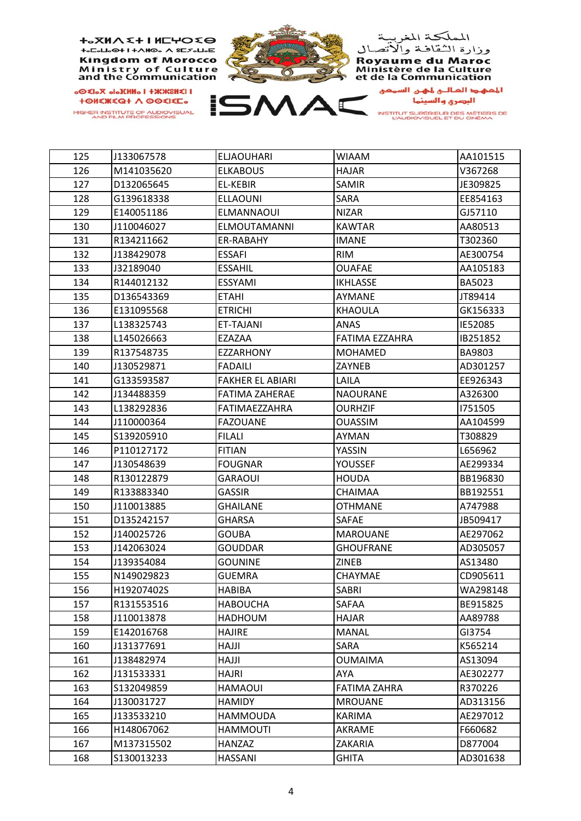

| 125 | J133067578 | <b>ELJAOUHARI</b>       | <b>WIAAM</b>        | AA101515      |
|-----|------------|-------------------------|---------------------|---------------|
| 126 | M141035620 | <b>ELKABOUS</b>         | <b>HAJAR</b>        | V367268       |
| 127 | D132065645 | EL-KEBIR                | <b>SAMIR</b>        | JE309825      |
| 128 | G139618338 | <b>ELLAOUNI</b>         | SARA                | EE854163      |
| 129 | E140051186 | <b>ELMANNAOUI</b>       | <b>NIZAR</b>        | GJ57110       |
| 130 | J110046027 | <b>ELMOUTAMANNI</b>     | <b>KAWTAR</b>       | AA80513       |
| 131 | R134211662 | ER-RABAHY               | <b>IMANE</b>        | T302360       |
| 132 | J138429078 | <b>ESSAFI</b>           | <b>RIM</b>          | AE300754      |
| 133 | J32189040  | <b>ESSAHIL</b>          | <b>OUAFAE</b>       | AA105183      |
| 134 | R144012132 | <b>ESSYAMI</b>          | <b>IKHLASSE</b>     | <b>BA5023</b> |
| 135 | D136543369 | <b>ETAHI</b>            | AYMANE              | JT89414       |
| 136 | E131095568 | <b>ETRICHI</b>          | <b>KHAOULA</b>      | GK156333      |
| 137 | L138325743 | ET-TAJANI               | ANAS                | IE52085       |
| 138 | L145026663 | EZAZAA                  | FATIMA EZZAHRA      | IB251852      |
| 139 | R137548735 | <b>EZZARHONY</b>        | <b>MOHAMED</b>      | BA9803        |
| 140 | J130529871 | <b>FADAILI</b>          | <b>ZAYNEB</b>       | AD301257      |
| 141 | G133593587 | <b>FAKHER EL ABIARI</b> | LAILA               | EE926343      |
| 142 | J134488359 | <b>FATIMA ZAHERAE</b>   | <b>NAOURANE</b>     | A326300       |
| 143 | L138292836 | <b>FATIMAEZZAHRA</b>    | <b>OURHZIF</b>      | 1751505       |
| 144 | J110000364 | <b>FAZOUANE</b>         | <b>OUASSIM</b>      | AA104599      |
| 145 | S139205910 | <b>FILALI</b>           | AYMAN               | T308829       |
| 146 | P110127172 | <b>FITIAN</b>           | YASSIN              | L656962       |
| 147 | J130548639 | <b>FOUGNAR</b>          | <b>YOUSSEF</b>      | AE299334      |
| 148 | R130122879 | <b>GARAOUI</b>          | <b>HOUDA</b>        | BB196830      |
| 149 | R133883340 | <b>GASSIR</b>           | CHAIMAA             | BB192551      |
| 150 | J110013885 | <b>GHAILANE</b>         | <b>OTHMANE</b>      | A747988       |
| 151 | D135242157 | <b>GHARSA</b>           | SAFAE               | JB509417      |
| 152 | J140025726 | <b>GOUBA</b>            | <b>MAROUANE</b>     | AE297062      |
| 153 | J142063024 | <b>GOUDDAR</b>          | <b>GHOUFRANE</b>    | AD305057      |
| 154 | J139354084 | <b>GOUNINE</b>          | <b>ZINEB</b>        | AS13480       |
| 155 | N149029823 | <b>GUEMRA</b>           | CHAYMAE             | CD905611      |
| 156 | H19207402S | <b>HABIBA</b>           | <b>SABRI</b>        | WA298148      |
| 157 | R131553516 | <b>HABOUCHA</b>         | SAFAA               | BE915825      |
| 158 | J110013878 | <b>HADHOUM</b>          | <b>HAJAR</b>        | AA89788       |
| 159 | E142016768 | <b>HAJIRE</b>           | <b>MANAL</b>        | GI3754        |
| 160 | J131377691 | HAJJI                   | SARA                | K565214       |
| 161 | J138482974 | <b>IllAH</b>            | <b>OUMAIMA</b>      | AS13094       |
| 162 | J131533331 | HAJRI                   | AYA                 | AE302277      |
| 163 | S132049859 | <b>HAMAOUI</b>          | <b>FATIMA ZAHRA</b> | R370226       |
| 164 | J130031727 | <b>HAMIDY</b>           | <b>MROUANE</b>      | AD313156      |
| 165 | J133533210 | <b>HAMMOUDA</b>         | <b>KARIMA</b>       | AE297012      |
| 166 | H148067062 | <b>HAMMOUTI</b>         | AKRAME              | F660682       |
| 167 | M137315502 | HANZAZ                  | ZAKARIA             | D877004       |
| 168 | S130013233 | <b>HASSANI</b>          | <b>GHITA</b>        | AD301638      |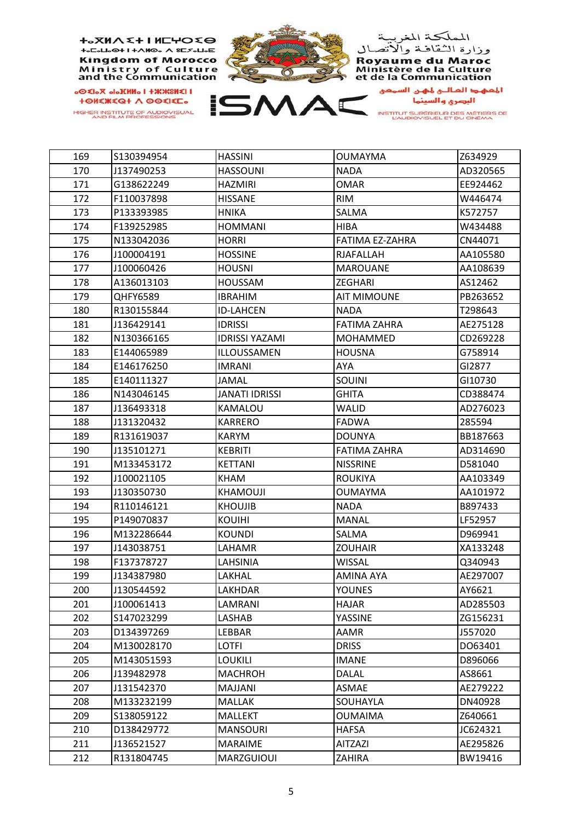

| 169 | S130394954 | <b>HASSINI</b>        | <b>OUMAYMA</b>      | Z634929  |
|-----|------------|-----------------------|---------------------|----------|
| 170 | J137490253 | <b>HASSOUNI</b>       | <b>NADA</b>         | AD320565 |
| 171 | G138622249 | <b>HAZMIRI</b>        | <b>OMAR</b>         | EE924462 |
| 172 | F110037898 | <b>HISSANE</b>        | <b>RIM</b>          | W446474  |
| 173 | P133393985 | <b>HNIKA</b>          | SALMA               | K572757  |
| 174 | F139252985 | <b>HOMMANI</b>        | <b>HIBA</b>         | W434488  |
| 175 | N133042036 | <b>HORRI</b>          | FATIMA EZ-ZAHRA     | CN44071  |
| 176 | J100004191 | <b>HOSSINE</b>        | <b>RJAFALLAH</b>    | AA105580 |
| 177 | J100060426 | <b>HOUSNI</b>         | <b>MAROUANE</b>     | AA108639 |
| 178 | A136013103 | <b>HOUSSAM</b>        | <b>ZEGHARI</b>      | AS12462  |
| 179 | QHFY6589   | <b>IBRAHIM</b>        | <b>AIT MIMOUNE</b>  | PB263652 |
| 180 | R130155844 | <b>ID-LAHCEN</b>      | <b>NADA</b>         | T298643  |
| 181 | J136429141 | <b>IDRISSI</b>        | <b>FATIMA ZAHRA</b> | AE275128 |
| 182 | N130366165 | <b>IDRISSI YAZAMI</b> | <b>MOHAMMED</b>     | CD269228 |
| 183 | E144065989 | ILLOUSSAMEN           | <b>HOUSNA</b>       | G758914  |
| 184 | E146176250 | <b>IMRANI</b>         | AYA                 | GI2877   |
| 185 | E140111327 | JAMAL                 | SOUINI              | GI10730  |
| 186 | N143046145 | <b>JANATI IDRISSI</b> | <b>GHITA</b>        | CD388474 |
| 187 | J136493318 | KAMALOU               | <b>WALID</b>        | AD276023 |
| 188 | J131320432 | <b>KARRERO</b>        | <b>FADWA</b>        | 285594   |
| 189 | R131619037 | <b>KARYM</b>          | <b>DOUNYA</b>       | BB187663 |
| 190 | J135101271 | <b>KEBRITI</b>        | <b>FATIMA ZAHRA</b> | AD314690 |
| 191 | M133453172 | <b>KETTANI</b>        | <b>NISSRINE</b>     | D581040  |
| 192 | J100021105 | <b>KHAM</b>           | <b>ROUKIYA</b>      | AA103349 |
| 193 | J130350730 | <b>KHAMOUJI</b>       | <b>OUMAYMA</b>      | AA101972 |
| 194 | R110146121 | <b>KHOUJIB</b>        | <b>NADA</b>         | B897433  |
| 195 | P149070837 | <b>KOUIHI</b>         | <b>MANAL</b>        | LF52957  |
| 196 | M132286644 | <b>KOUNDI</b>         | SALMA               | D969941  |
| 197 | J143038751 | LAHAMR                | <b>ZOUHAIR</b>      | XA133248 |
| 198 | F137378727 | LAHSINIA              | <b>WISSAL</b>       | Q340943  |
| 199 | J134387980 | LAKHAL                | <b>AMINA AYA</b>    | AE297007 |
| 200 | J130544592 | LAKHDAR               | <b>YOUNES</b>       | AY6621   |
| 201 | J100061413 | LAMRANI               | <b>HAJAR</b>        | AD285503 |
| 202 | S147023299 | LASHAB                | YASSINE             | ZG156231 |
| 203 | D134397269 | LEBBAR                | AAMR                | J557020  |
| 204 | M130028170 | <b>LOTFI</b>          | <b>DRISS</b>        | DO63401  |
| 205 | M143051593 | <b>LOUKILI</b>        | <b>IMANE</b>        | D896066  |
| 206 | J139482978 | <b>MACHROH</b>        | <b>DALAL</b>        | AS8661   |
| 207 | J131542370 | MAJJANI               | ASMAE               | AE279222 |
| 208 | M133232199 | <b>MALLAK</b>         | SOUHAYLA            | DN40928  |
| 209 | S138059122 | <b>MALLEKT</b>        | <b>OUMAIMA</b>      | Z640661  |
| 210 | D138429772 | <b>MANSOURI</b>       | <b>HAFSA</b>        | JC624321 |
| 211 | J136521527 | <b>MARAIME</b>        | <b>AITZAZI</b>      | AE295826 |
| 212 | R131804745 | MARZGUIOUI            | ZAHIRA              | BW19416  |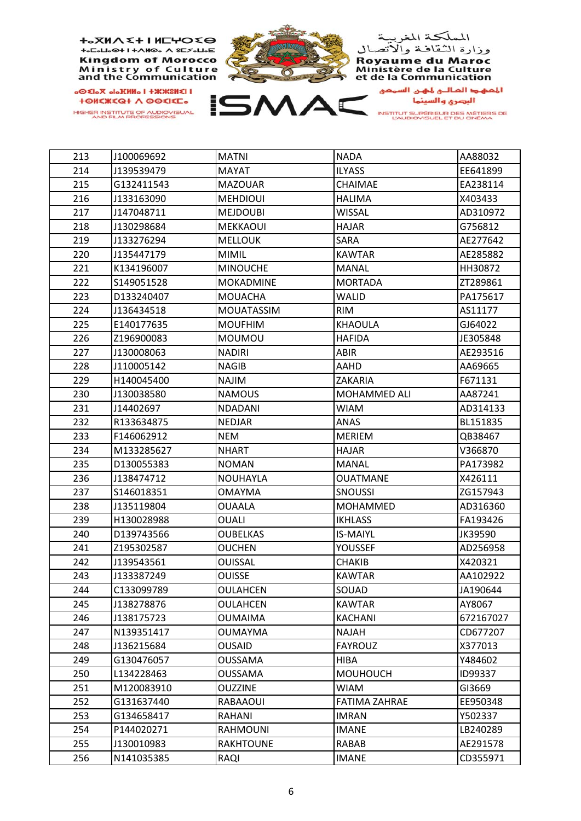

| 213 | J100069692 | <b>MATNI</b>      | <b>NADA</b>          | AA88032   |
|-----|------------|-------------------|----------------------|-----------|
| 214 | J139539479 | <b>MAYAT</b>      | <b>ILYASS</b>        | EE641899  |
| 215 | G132411543 | <b>MAZOUAR</b>    | CHAIMAE              | EA238114  |
| 216 | J133163090 | <b>MEHDIOUI</b>   | <b>HALIMA</b>        | X403433   |
| 217 | J147048711 | <b>MEJDOUBI</b>   | WISSAL               | AD310972  |
| 218 | J130298684 | MEKKAOUI          | <b>HAJAR</b>         | G756812   |
| 219 | J133276294 | <b>MELLOUK</b>    | SARA                 | AE277642  |
| 220 | J135447179 | <b>MIMIL</b>      | <b>KAWTAR</b>        | AE285882  |
| 221 | K134196007 | <b>MINOUCHE</b>   | <b>MANAL</b>         | HH30872   |
| 222 | S149051528 | <b>MOKADMINE</b>  | <b>MORTADA</b>       | ZT289861  |
| 223 | D133240407 | <b>MOUACHA</b>    | <b>WALID</b>         | PA175617  |
| 224 | J136434518 | <b>MOUATASSIM</b> | <b>RIM</b>           | AS11177   |
| 225 | E140177635 | <b>MOUFHIM</b>    | KHAOULA              | GJ64022   |
| 226 | Z196900083 | <b>MOUMOU</b>     | <b>HAFIDA</b>        | JE305848  |
| 227 | J130008063 | <b>NADIRI</b>     | ABIR                 | AE293516  |
| 228 | J110005142 | <b>NAGIB</b>      | AAHD                 | AA69665   |
| 229 | H140045400 | <b>NAJIM</b>      | ZAKARIA              | F671131   |
| 230 | J130038580 | <b>NAMOUS</b>     | MOHAMMED ALI         | AA87241   |
| 231 | J14402697  | NDADANI           | <b>WIAM</b>          | AD314133  |
| 232 | R133634875 | <b>NEDJAR</b>     | ANAS                 | BL151835  |
| 233 | F146062912 | <b>NEM</b>        | <b>MERIEM</b>        | QB38467   |
| 234 | M133285627 | <b>NHART</b>      | <b>HAJAR</b>         | V366870   |
| 235 | D130055383 | <b>NOMAN</b>      | <b>MANAL</b>         | PA173982  |
| 236 | J138474712 | <b>NOUHAYLA</b>   | <b>OUATMANE</b>      | X426111   |
| 237 | S146018351 | <b>OMAYMA</b>     | <b>SNOUSSI</b>       | ZG157943  |
| 238 | J135119804 | OUAALA            | <b>MOHAMMED</b>      | AD316360  |
| 239 | H130028988 | <b>OUALI</b>      | <b>IKHLASS</b>       | FA193426  |
| 240 | D139743566 | OUBELKAS          | <b>IS-MAIYL</b>      | JK39590   |
| 241 | Z195302587 | <b>OUCHEN</b>     | YOUSSEF              | AD256958  |
| 242 | J139543561 | <b>OUISSAL</b>    | CHAKIB               | X420321   |
| 243 | J133387249 | OUISSE            | <b>KAWTAR</b>        | AA102922  |
| 244 | C133099789 | <b>OULAHCEN</b>   | SOUAD                | JA190644  |
| 245 | J138278876 | <b>OULAHCEN</b>   | <b>KAWTAR</b>        | AY8067    |
| 246 | J138175723 | <b>OUMAIMA</b>    | KACHANI              | 672167027 |
| 247 | N139351417 | <b>OUMAYMA</b>    | NAJAH                | CD677207  |
| 248 | J136215684 | <b>OUSAID</b>     | <b>FAYROUZ</b>       | X377013   |
| 249 | G130476057 | <b>OUSSAMA</b>    | <b>HIBA</b>          | Y484602   |
| 250 | L134228463 | <b>OUSSAMA</b>    | <b>MOUHOUCH</b>      | ID99337   |
| 251 | M120083910 | <b>OUZZINE</b>    | WIAM                 | GI3669    |
| 252 | G131637440 | RABAAOUI          | <b>FATIMA ZAHRAE</b> | EE950348  |
| 253 | G134658417 | RAHANI            | IMRAN                | Y502337   |
| 254 | P144020271 | <b>RAHMOUNI</b>   | <b>IMANE</b>         | LB240289  |
| 255 | J130010983 | <b>RAKHTOUNE</b>  | RABAB                | AE291578  |
| 256 | N141035385 | RAQI              | IMANE                | CD355971  |